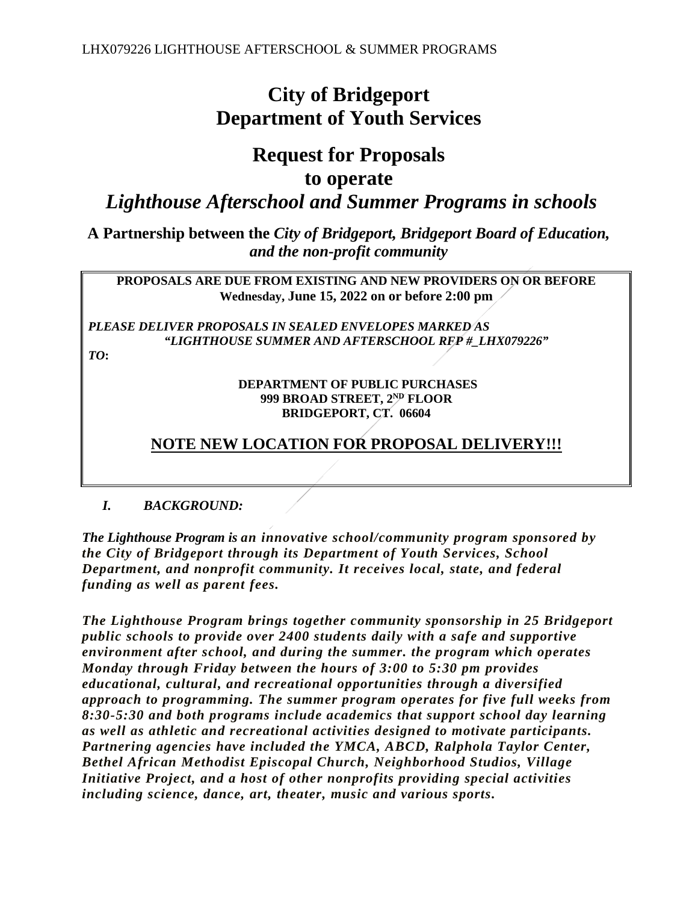# **City of Bridgeport Department of Youth Services**

## **Request for Proposals to operate**

*Lighthouse Afterschool and Summer Programs in schools*

**A Partnership between the** *City of Bridgeport, Bridgeport Board of Education, and the non-profit community*

**PROPOSALS ARE DUE FROM EXISTING AND NEW PROVIDERS ON OR BEFORE Wednesday, June 15, 2022 on or before 2:00 pm** 

*PLEASE DELIVER PROPOSALS IN SEALED ENVELOPES MARKED AS "LIGHTHOUSE SUMMER AND AFTERSCHOOL RFP #\_LHX079226"* 

*TO***:** 

#### **DEPARTMENT OF PUBLIC PURCHASES 999 BROAD STREET, 2ND FLOOR BRIDGEPORT, CT. 06604**

## **NOTE NEW LOCATION FOR PROPOSAL DELIVERY!!!**

#### *I. BACKGROUND:*

*The Lighthouse Program is an innovative school/community program sponsored by the City of Bridgeport through its Department of Youth Services, School Department, and nonprofit community. It receives local, state, and federal funding as well as parent fees.*

*The Lighthouse Program brings together community sponsorship in 25 Bridgeport public schools to provide over 2400 students daily with a safe and supportive environment after school, and during the summer. the program which operates Monday through Friday between the hours of 3:00 to 5:30 pm provides educational, cultural, and recreational opportunities through a diversified approach to programming. The summer program operates for five full weeks from 8:30-5:30 and both programs include academics that support school day learning as well as athletic and recreational activities designed to motivate participants. Partnering agencies have included the YMCA, ABCD, Ralphola Taylor Center, Bethel African Methodist Episcopal Church, Neighborhood Studios, Village Initiative Project, and a host of other nonprofits providing special activities including science, dance, art, theater, music and various sports.*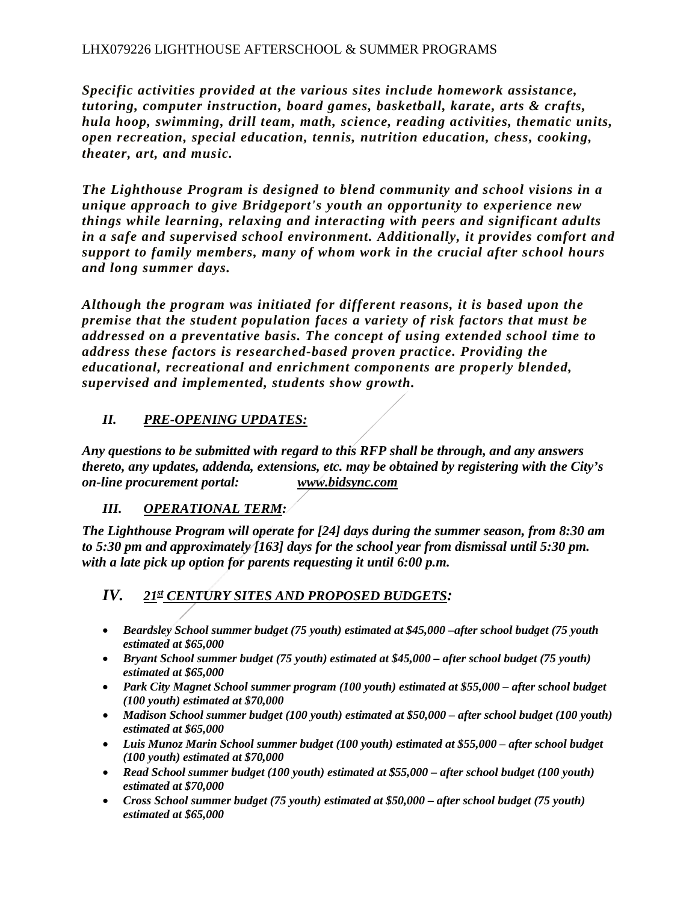#### LHX079226 LIGHTHOUSE AFTERSCHOOL & SUMMER PROGRAMS

*Specific activities provided at the various sites include homework assistance, tutoring, computer instruction, board games, basketball, karate, arts & crafts, hula hoop, swimming, drill team, math, science, reading activities, thematic units, open recreation, special education, tennis, nutrition education, chess, cooking, theater, art, and music.*

*The Lighthouse Program is designed to blend community and school visions in a unique approach to give Bridgeport's youth an opportunity to experience new things while learning, relaxing and interacting with peers and significant adults in a safe and supervised school environment. Additionally, it provides comfort and support to family members, many of whom work in the crucial after school hours and long summer days.*

*Although the program was initiated for different reasons, it is based upon the premise that the student population faces a variety of risk factors that must be addressed on a preventative basis. The concept of using extended school time to address these factors is researched-based proven practice. Providing the educational, recreational and enrichment components are properly blended, supervised and implemented, students show growth.*

#### *II. PRE-OPENING UPDATES:*

*Any questions to be submitted with regard to this RFP shall be through, and any answers thereto, any updates, addenda, extensions, etc. may be obtained by registering with the City's on-line procurement portal: www.bidsync.com* 

#### *III. OPERATIONAL TERM:*

*The Lighthouse Program will operate for [24] days during the summer season, from 8:30 am to 5:30 pm and approximately [163] days for the school year from dismissal until 5:30 pm. with a late pick up option for parents requesting it until 6:00 p.m.* 

### *IV. 21st CENTURY SITES AND PROPOSED BUDGETS:*

- *Beardsley School summer budget (75 youth) estimated at \$45,000 –after school budget (75 youth estimated at \$65,000*
- *Bryant School summer budget (75 youth) estimated at \$45,000 after school budget (75 youth) estimated at \$65,000*
- *Park City Magnet School summer program (100 youth) estimated at \$55,000 after school budget (100 youth) estimated at \$70,000*
- *Madison School summer budget (100 youth) estimated at \$50,000 after school budget (100 youth) estimated at \$65,000*
- *Luis Munoz Marin School summer budget (100 youth) estimated at \$55,000 after school budget (100 youth) estimated at \$70,000*
- *Read School summer budget (100 youth) estimated at \$55,000 after school budget (100 youth) estimated at \$70,000*
- *Cross School summer budget (75 youth) estimated at \$50,000 after school budget (75 youth) estimated at \$65,000*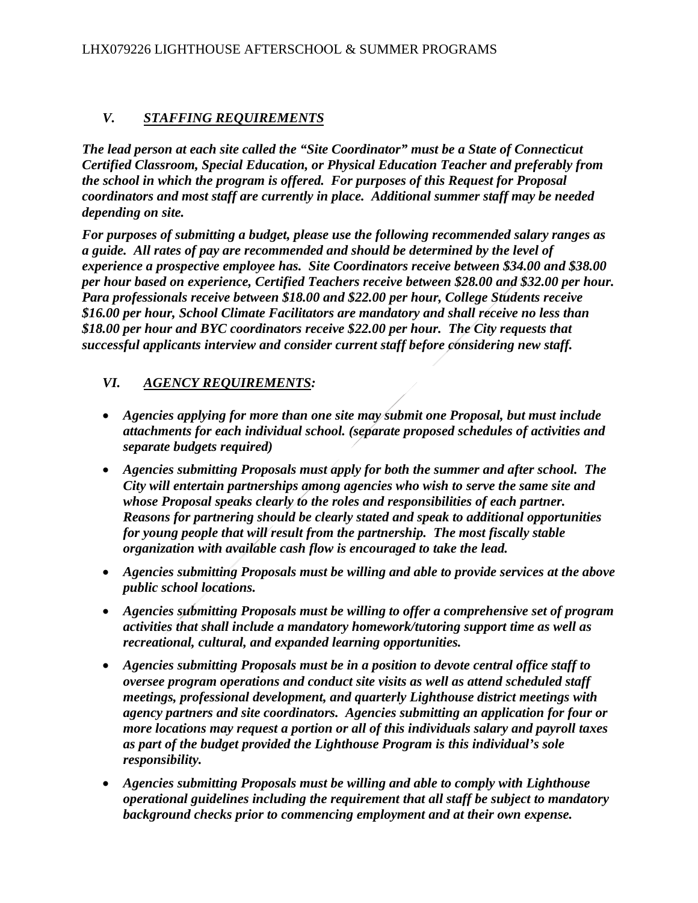#### *V. STAFFING REQUIREMENTS*

*The lead person at each site called the "Site Coordinator" must be a State of Connecticut Certified Classroom, Special Education, or Physical Education Teacher and preferably from the school in which the program is offered. For purposes of this Request for Proposal coordinators and most staff are currently in place. Additional summer staff may be needed depending on site.*

*For purposes of submitting a budget, please use the following recommended salary ranges as a guide. All rates of pay are recommended and should be determined by the level of experience a prospective employee has. Site Coordinators receive between \$34.00 and \$38.00 per hour based on experience, Certified Teachers receive between \$28.00 and \$32.00 per hour. Para professionals receive between \$18.00 and \$22.00 per hour, College Students receive \$16.00 per hour, School Climate Facilitators are mandatory and shall receive no less than \$18.00 per hour and BYC coordinators receive \$22.00 per hour. The City requests that successful applicants interview and consider current staff before considering new staff.*

#### *VI. AGENCY REQUIREMENTS:*

- *Agencies applying for more than one site may submit one Proposal, but must include attachments for each individual school. (separate proposed schedules of activities and separate budgets required)*
- *Agencies submitting Proposals must apply for both the summer and after school. The City will entertain partnerships among agencies who wish to serve the same site and whose Proposal speaks clearly to the roles and responsibilities of each partner. Reasons for partnering should be clearly stated and speak to additional opportunities for young people that will result from the partnership. The most fiscally stable organization with available cash flow is encouraged to take the lead.*
- *Agencies submitting Proposals must be willing and able to provide services at the above public school locations.*
- *Agencies submitting Proposals must be willing to offer a comprehensive set of program activities that shall include a mandatory homework/tutoring support time as well as recreational, cultural, and expanded learning opportunities.*
- *Agencies submitting Proposals must be in a position to devote central office staff to oversee program operations and conduct site visits as well as attend scheduled staff meetings, professional development, and quarterly Lighthouse district meetings with agency partners and site coordinators. Agencies submitting an application for four or more locations may request a portion or all of this individuals salary and payroll taxes as part of the budget provided the Lighthouse Program is this individual's sole responsibility.*
- *Agencies submitting Proposals must be willing and able to comply with Lighthouse operational guidelines including the requirement that all staff be subject to mandatory background checks prior to commencing employment and at their own expense.*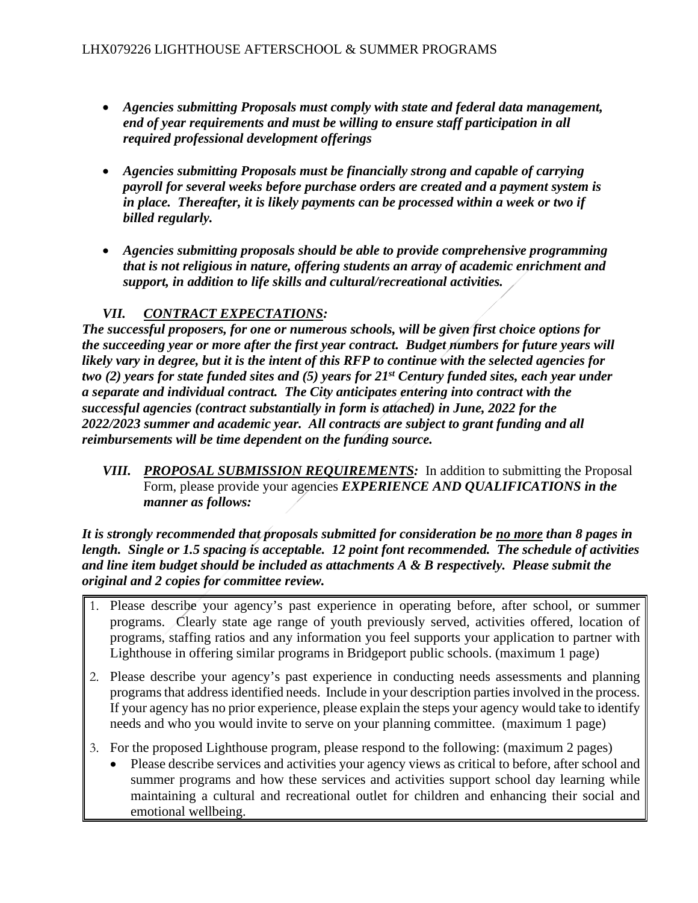- *Agencies submitting Proposals must comply with state and federal data management, end of year requirements and must be willing to ensure staff participation in all required professional development offerings*
- *Agencies submitting Proposals must be financially strong and capable of carrying payroll for several weeks before purchase orders are created and a payment system is in place. Thereafter, it is likely payments can be processed within a week or two if billed regularly.*
- *Agencies submitting proposals should be able to provide comprehensive programming that is not religious in nature, offering students an array of academic enrichment and support, in addition to life skills and cultural/recreational activities.*

### *VII. CONTRACT EXPECTATIONS:*

*The successful proposers, for one or numerous schools, will be given first choice options for the succeeding year or more after the first year contract. Budget numbers for future years will likely vary in degree, but it is the intent of this RFP to continue with the selected agencies for two (2) years for state funded sites and (5) years for 21st Century funded sites, each year under a separate and individual contract. The City anticipates entering into contract with the successful agencies (contract substantially in form is attached) in June, 2022 for the 2022/2023 summer and academic year. All contracts are subject to grant funding and all reimbursements will be time dependent on the funding source.*

*VIII. PROPOSAL SUBMISSION REQUIREMENTS:* In addition to submitting the Proposal Form, please provide your agencies *EXPERIENCE AND QUALIFICATIONS in the manner as follows:*

*It is strongly recommended that proposals submitted for consideration be no more than 8 pages in length. Single or 1.5 spacing is acceptable. 12 point font recommended. The schedule of activities and line item budget should be included as attachments A & B respectively. Please submit the original and 2 copies for committee review.*

- 1. Please describe your agency's past experience in operating before, after school, or summer programs. Clearly state age range of youth previously served, activities offered, location of programs, staffing ratios and any information you feel supports your application to partner with Lighthouse in offering similar programs in Bridgeport public schools. (maximum 1 page)
- 2. Please describe your agency's past experience in conducting needs assessments and planning programs that address identified needs. Include in your description parties involved in the process. If your agency has no prior experience, please explain the steps your agency would take to identify needs and who you would invite to serve on your planning committee. (maximum 1 page)
- 3. For the proposed Lighthouse program, please respond to the following: (maximum 2 pages)
	- Please describe services and activities your agency views as critical to before, after school and summer programs and how these services and activities support school day learning while maintaining a cultural and recreational outlet for children and enhancing their social and emotional wellbeing.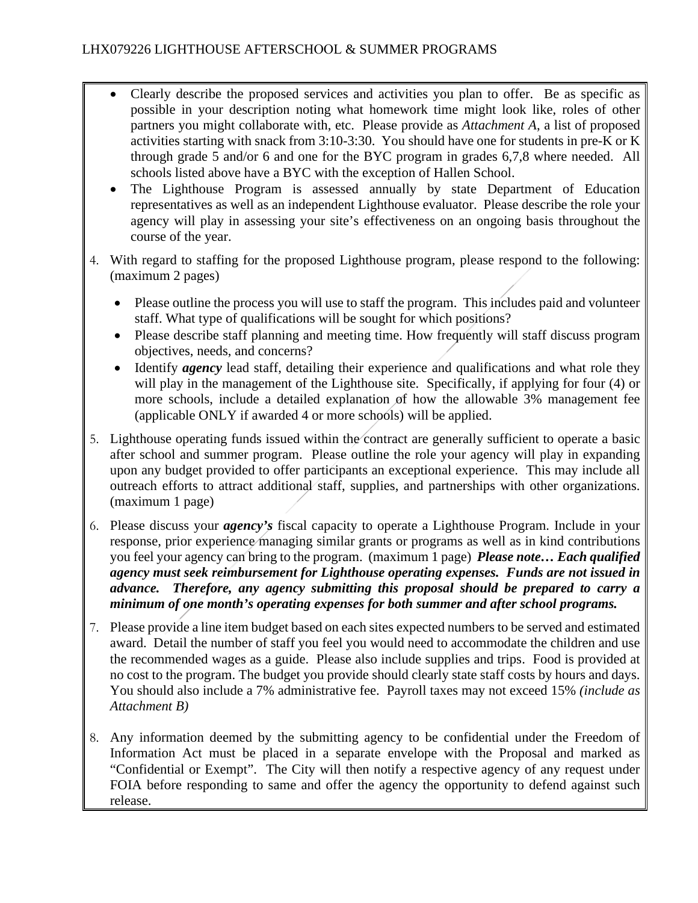- Clearly describe the proposed services and activities you plan to offer. Be as specific as possible in your description noting what homework time might look like, roles of other partners you might collaborate with, etc. Please provide as *Attachment A*, a list of proposed activities starting with snack from 3:10-3:30. You should have one for students in pre-K or K through grade 5 and/or 6 and one for the BYC program in grades 6,7,8 where needed. All schools listed above have a BYC with the exception of Hallen School.
- The Lighthouse Program is assessed annually by state Department of Education representatives as well as an independent Lighthouse evaluator. Please describe the role your agency will play in assessing your site's effectiveness on an ongoing basis throughout the course of the year.
- 4. With regard to staffing for the proposed Lighthouse program, please respond to the following: (maximum 2 pages)
	- Please outline the process you will use to staff the program. This includes paid and volunteer staff. What type of qualifications will be sought for which positions?
	- Please describe staff planning and meeting time. How frequently will staff discuss program objectives, needs, and concerns?
	- Identify *agency* lead staff, detailing their experience and qualifications and what role they will play in the management of the Lighthouse site. Specifically, if applying for four (4) or more schools, include a detailed explanation of how the allowable 3% management fee (applicable ONLY if awarded 4 or more schools) will be applied.
- 5. Lighthouse operating funds issued within the contract are generally sufficient to operate a basic after school and summer program. Please outline the role your agency will play in expanding upon any budget provided to offer participants an exceptional experience. This may include all outreach efforts to attract additional staff, supplies, and partnerships with other organizations. (maximum 1 page)
- 6. Please discuss your *agency's* fiscal capacity to operate a Lighthouse Program. Include in your response, prior experience managing similar grants or programs as well as in kind contributions you feel your agency can bring to the program. (maximum 1 page) *Please note… Each qualified agency must seek reimbursement for Lighthouse operating expenses. Funds are not issued in advance. Therefore, any agency submitting this proposal should be prepared to carry a minimum of one month's operating expenses for both summer and after school programs.*
- 7. Please provide a line item budget based on each sites expected numbers to be served and estimated award. Detail the number of staff you feel you would need to accommodate the children and use the recommended wages as a guide. Please also include supplies and trips. Food is provided at no cost to the program. The budget you provide should clearly state staff costs by hours and days. You should also include a 7% administrative fee. Payroll taxes may not exceed 15% *(include as Attachment B)*
- 8. Any information deemed by the submitting agency to be confidential under the Freedom of Information Act must be placed in a separate envelope with the Proposal and marked as "Confidential or Exempt". The City will then notify a respective agency of any request under FOIA before responding to same and offer the agency the opportunity to defend against such release.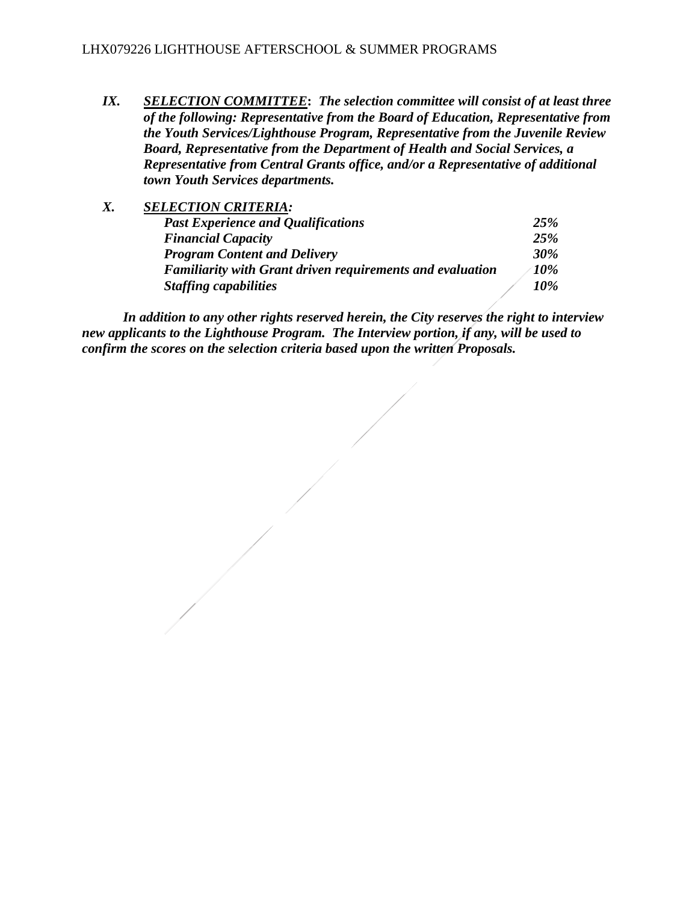*IX. SELECTION COMMITTEE***:** *The selection committee will consist of at least three of the following: Representative from the Board of Education, Representative from the Youth Services/Lighthouse Program, Representative from the Juvenile Review Board, Representative from the Department of Health and Social Services, a Representative from Central Grants office, and/or a Representative of additional town Youth Services departments.*

| Х. | <b>SELECTION CRITERIA:</b>                                       |            |
|----|------------------------------------------------------------------|------------|
|    | <b>Past Experience and Qualifications</b>                        | 25%        |
|    | <b>Financial Capacity</b>                                        | <b>25%</b> |
|    | <b>Program Content and Delivery</b>                              | <b>30%</b> |
|    | <b>Familiarity with Grant driven requirements and evaluation</b> | 10%        |
|    | <b>Staffing capabilities</b>                                     | 10%        |

*In addition to any other rights reserved herein, the City reserves the right to interview new applicants to the Lighthouse Program. The Interview portion, if any, will be used to confirm the scores on the selection criteria based upon the written Proposals.*